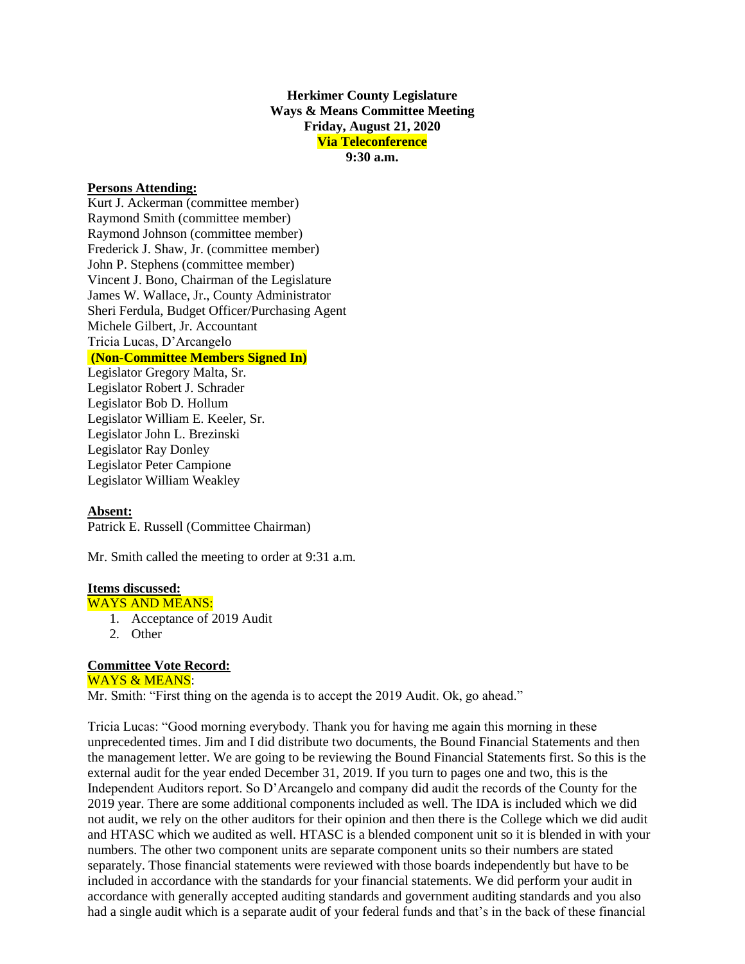**Herkimer County Legislature Ways & Means Committee Meeting Friday, August 21, 2020 Via Teleconference 9:30 a.m.**

## **Persons Attending:**

Kurt J. Ackerman (committee member) Raymond Smith (committee member) Raymond Johnson (committee member) Frederick J. Shaw, Jr. (committee member) John P. Stephens (committee member) Vincent J. Bono, Chairman of the Legislature James W. Wallace, Jr., County Administrator Sheri Ferdula, Budget Officer/Purchasing Agent Michele Gilbert, Jr. Accountant Tricia Lucas, D'Arcangelo **(Non-Committee Members Signed In)**

Legislator Gregory Malta, Sr. Legislator Robert J. Schrader Legislator Bob D. Hollum Legislator William E. Keeler, Sr. Legislator John L. Brezinski Legislator Ray Donley Legislator Peter Campione Legislator William Weakley

## **Absent:**

Patrick E. Russell (Committee Chairman)

Mr. Smith called the meeting to order at 9:31 a.m.

## **Items discussed:**

- WAYS AND MEANS:
	- 1. Acceptance of 2019 Audit
	- 2. Other

## **Committee Vote Record:**

WAYS & MEANS:

Mr. Smith: "First thing on the agenda is to accept the 2019 Audit. Ok, go ahead."

Tricia Lucas: "Good morning everybody. Thank you for having me again this morning in these unprecedented times. Jim and I did distribute two documents, the Bound Financial Statements and then the management letter. We are going to be reviewing the Bound Financial Statements first. So this is the external audit for the year ended December 31, 2019. If you turn to pages one and two, this is the Independent Auditors report. So D'Arcangelo and company did audit the records of the County for the 2019 year. There are some additional components included as well. The IDA is included which we did not audit, we rely on the other auditors for their opinion and then there is the College which we did audit and HTASC which we audited as well. HTASC is a blended component unit so it is blended in with your numbers. The other two component units are separate component units so their numbers are stated separately. Those financial statements were reviewed with those boards independently but have to be included in accordance with the standards for your financial statements. We did perform your audit in accordance with generally accepted auditing standards and government auditing standards and you also had a single audit which is a separate audit of your federal funds and that's in the back of these financial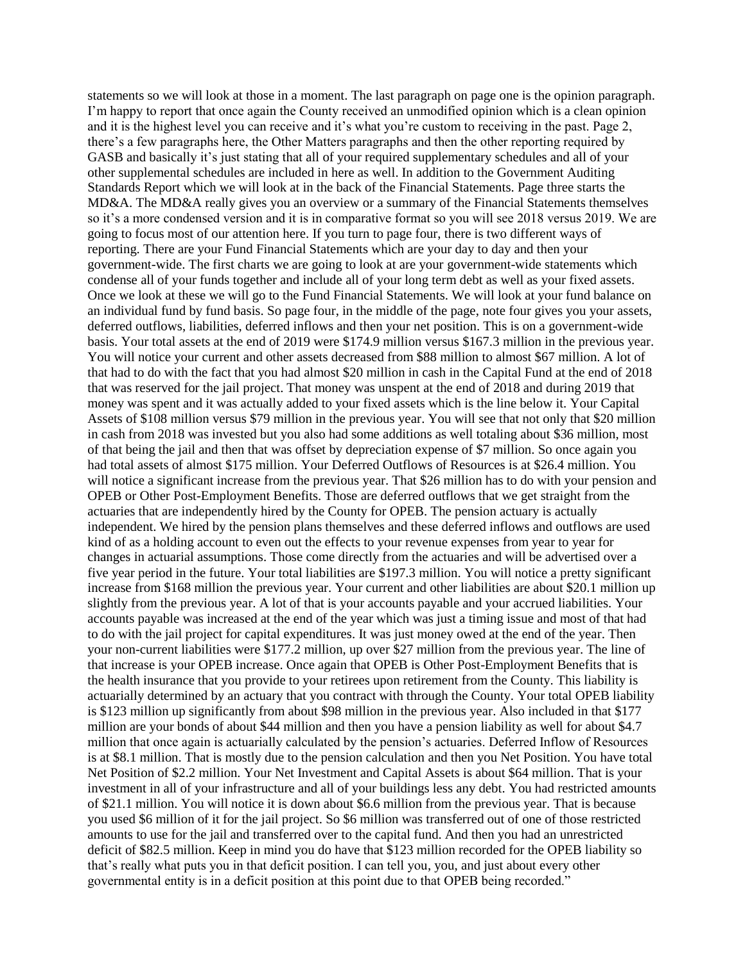statements so we will look at those in a moment. The last paragraph on page one is the opinion paragraph. I'm happy to report that once again the County received an unmodified opinion which is a clean opinion and it is the highest level you can receive and it's what you're custom to receiving in the past. Page 2, there's a few paragraphs here, the Other Matters paragraphs and then the other reporting required by GASB and basically it's just stating that all of your required supplementary schedules and all of your other supplemental schedules are included in here as well. In addition to the Government Auditing Standards Report which we will look at in the back of the Financial Statements. Page three starts the MD&A. The MD&A really gives you an overview or a summary of the Financial Statements themselves so it's a more condensed version and it is in comparative format so you will see 2018 versus 2019. We are going to focus most of our attention here. If you turn to page four, there is two different ways of reporting. There are your Fund Financial Statements which are your day to day and then your government-wide. The first charts we are going to look at are your government-wide statements which condense all of your funds together and include all of your long term debt as well as your fixed assets. Once we look at these we will go to the Fund Financial Statements. We will look at your fund balance on an individual fund by fund basis. So page four, in the middle of the page, note four gives you your assets, deferred outflows, liabilities, deferred inflows and then your net position. This is on a government-wide basis. Your total assets at the end of 2019 were \$174.9 million versus \$167.3 million in the previous year. You will notice your current and other assets decreased from \$88 million to almost \$67 million. A lot of that had to do with the fact that you had almost \$20 million in cash in the Capital Fund at the end of 2018 that was reserved for the jail project. That money was unspent at the end of 2018 and during 2019 that money was spent and it was actually added to your fixed assets which is the line below it. Your Capital Assets of \$108 million versus \$79 million in the previous year. You will see that not only that \$20 million in cash from 2018 was invested but you also had some additions as well totaling about \$36 million, most of that being the jail and then that was offset by depreciation expense of \$7 million. So once again you had total assets of almost \$175 million. Your Deferred Outflows of Resources is at \$26.4 million. You will notice a significant increase from the previous year. That \$26 million has to do with your pension and OPEB or Other Post-Employment Benefits. Those are deferred outflows that we get straight from the actuaries that are independently hired by the County for OPEB. The pension actuary is actually independent. We hired by the pension plans themselves and these deferred inflows and outflows are used kind of as a holding account to even out the effects to your revenue expenses from year to year for changes in actuarial assumptions. Those come directly from the actuaries and will be advertised over a five year period in the future. Your total liabilities are \$197.3 million. You will notice a pretty significant increase from \$168 million the previous year. Your current and other liabilities are about \$20.1 million up slightly from the previous year. A lot of that is your accounts payable and your accrued liabilities. Your accounts payable was increased at the end of the year which was just a timing issue and most of that had to do with the jail project for capital expenditures. It was just money owed at the end of the year. Then your non-current liabilities were \$177.2 million, up over \$27 million from the previous year. The line of that increase is your OPEB increase. Once again that OPEB is Other Post-Employment Benefits that is the health insurance that you provide to your retirees upon retirement from the County. This liability is actuarially determined by an actuary that you contract with through the County. Your total OPEB liability is \$123 million up significantly from about \$98 million in the previous year. Also included in that \$177 million are your bonds of about \$44 million and then you have a pension liability as well for about \$4.7 million that once again is actuarially calculated by the pension's actuaries. Deferred Inflow of Resources is at \$8.1 million. That is mostly due to the pension calculation and then you Net Position. You have total Net Position of \$2.2 million. Your Net Investment and Capital Assets is about \$64 million. That is your investment in all of your infrastructure and all of your buildings less any debt. You had restricted amounts of \$21.1 million. You will notice it is down about \$6.6 million from the previous year. That is because you used \$6 million of it for the jail project. So \$6 million was transferred out of one of those restricted amounts to use for the jail and transferred over to the capital fund. And then you had an unrestricted deficit of \$82.5 million. Keep in mind you do have that \$123 million recorded for the OPEB liability so that's really what puts you in that deficit position. I can tell you, you, and just about every other governmental entity is in a deficit position at this point due to that OPEB being recorded."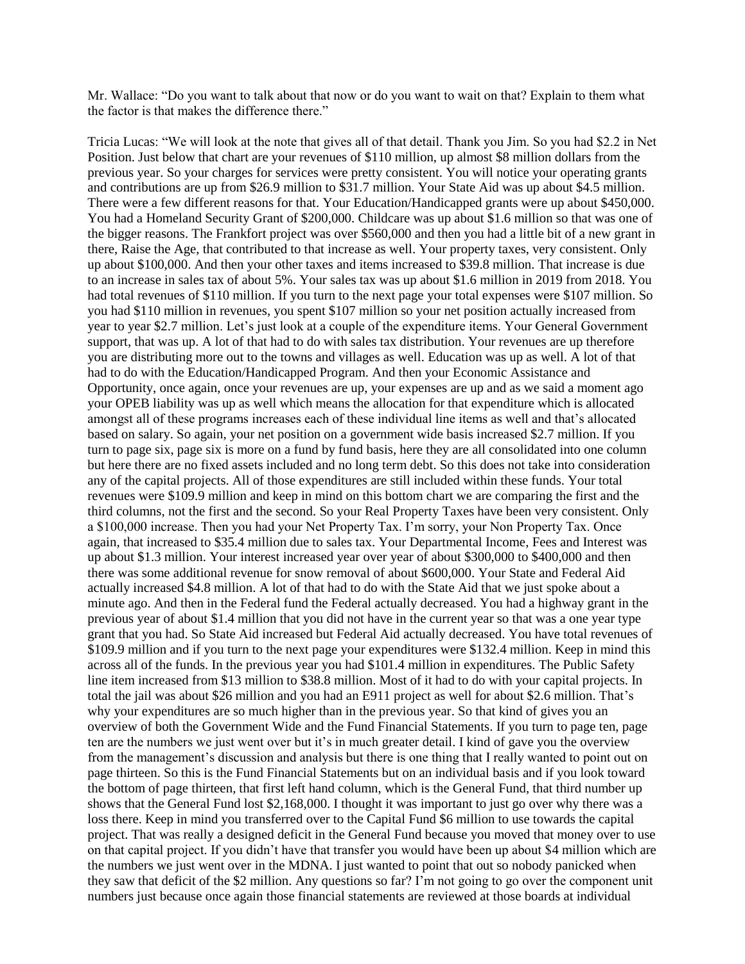Mr. Wallace: "Do you want to talk about that now or do you want to wait on that? Explain to them what the factor is that makes the difference there."

Tricia Lucas: "We will look at the note that gives all of that detail. Thank you Jim. So you had \$2.2 in Net Position. Just below that chart are your revenues of \$110 million, up almost \$8 million dollars from the previous year. So your charges for services were pretty consistent. You will notice your operating grants and contributions are up from \$26.9 million to \$31.7 million. Your State Aid was up about \$4.5 million. There were a few different reasons for that. Your Education/Handicapped grants were up about \$450,000. You had a Homeland Security Grant of \$200,000. Childcare was up about \$1.6 million so that was one of the bigger reasons. The Frankfort project was over \$560,000 and then you had a little bit of a new grant in there, Raise the Age, that contributed to that increase as well. Your property taxes, very consistent. Only up about \$100,000. And then your other taxes and items increased to \$39.8 million. That increase is due to an increase in sales tax of about 5%. Your sales tax was up about \$1.6 million in 2019 from 2018. You had total revenues of \$110 million. If you turn to the next page your total expenses were \$107 million. So you had \$110 million in revenues, you spent \$107 million so your net position actually increased from year to year \$2.7 million. Let's just look at a couple of the expenditure items. Your General Government support, that was up. A lot of that had to do with sales tax distribution. Your revenues are up therefore you are distributing more out to the towns and villages as well. Education was up as well. A lot of that had to do with the Education/Handicapped Program. And then your Economic Assistance and Opportunity, once again, once your revenues are up, your expenses are up and as we said a moment ago your OPEB liability was up as well which means the allocation for that expenditure which is allocated amongst all of these programs increases each of these individual line items as well and that's allocated based on salary. So again, your net position on a government wide basis increased \$2.7 million. If you turn to page six, page six is more on a fund by fund basis, here they are all consolidated into one column but here there are no fixed assets included and no long term debt. So this does not take into consideration any of the capital projects. All of those expenditures are still included within these funds. Your total revenues were \$109.9 million and keep in mind on this bottom chart we are comparing the first and the third columns, not the first and the second. So your Real Property Taxes have been very consistent. Only a \$100,000 increase. Then you had your Net Property Tax. I'm sorry, your Non Property Tax. Once again, that increased to \$35.4 million due to sales tax. Your Departmental Income, Fees and Interest was up about \$1.3 million. Your interest increased year over year of about \$300,000 to \$400,000 and then there was some additional revenue for snow removal of about \$600,000. Your State and Federal Aid actually increased \$4.8 million. A lot of that had to do with the State Aid that we just spoke about a minute ago. And then in the Federal fund the Federal actually decreased. You had a highway grant in the previous year of about \$1.4 million that you did not have in the current year so that was a one year type grant that you had. So State Aid increased but Federal Aid actually decreased. You have total revenues of \$109.9 million and if you turn to the next page your expenditures were \$132.4 million. Keep in mind this across all of the funds. In the previous year you had \$101.4 million in expenditures. The Public Safety line item increased from \$13 million to \$38.8 million. Most of it had to do with your capital projects. In total the jail was about \$26 million and you had an E911 project as well for about \$2.6 million. That's why your expenditures are so much higher than in the previous year. So that kind of gives you an overview of both the Government Wide and the Fund Financial Statements. If you turn to page ten, page ten are the numbers we just went over but it's in much greater detail. I kind of gave you the overview from the management's discussion and analysis but there is one thing that I really wanted to point out on page thirteen. So this is the Fund Financial Statements but on an individual basis and if you look toward the bottom of page thirteen, that first left hand column, which is the General Fund, that third number up shows that the General Fund lost \$2,168,000. I thought it was important to just go over why there was a loss there. Keep in mind you transferred over to the Capital Fund \$6 million to use towards the capital project. That was really a designed deficit in the General Fund because you moved that money over to use on that capital project. If you didn't have that transfer you would have been up about \$4 million which are the numbers we just went over in the MDNA. I just wanted to point that out so nobody panicked when they saw that deficit of the \$2 million. Any questions so far? I'm not going to go over the component unit numbers just because once again those financial statements are reviewed at those boards at individual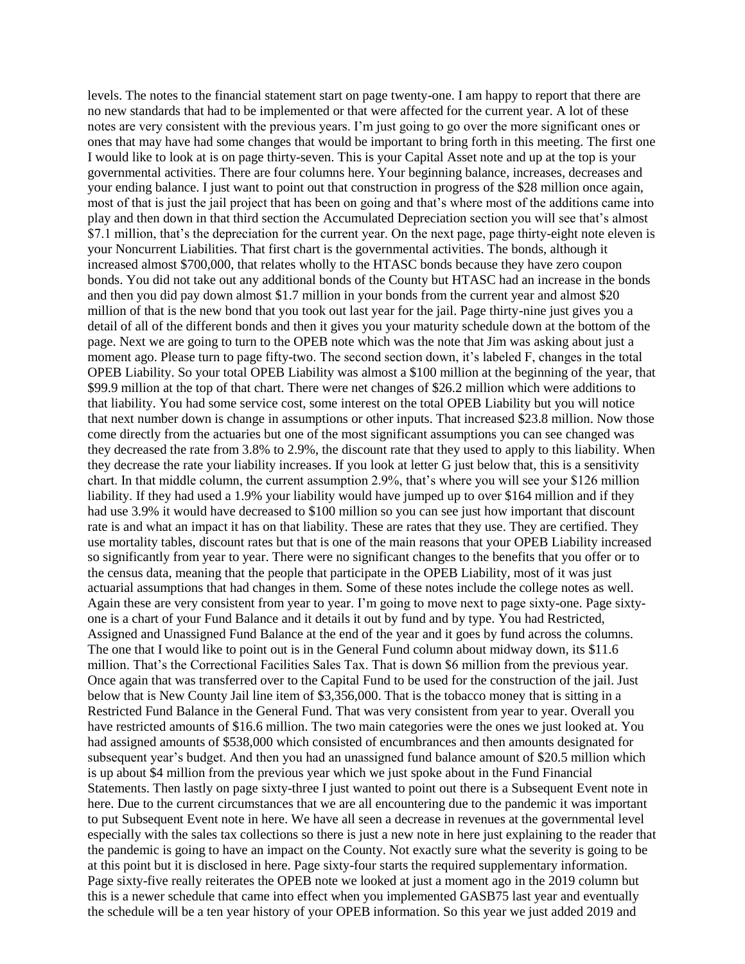levels. The notes to the financial statement start on page twenty-one. I am happy to report that there are no new standards that had to be implemented or that were affected for the current year. A lot of these notes are very consistent with the previous years. I'm just going to go over the more significant ones or ones that may have had some changes that would be important to bring forth in this meeting. The first one I would like to look at is on page thirty-seven. This is your Capital Asset note and up at the top is your governmental activities. There are four columns here. Your beginning balance, increases, decreases and your ending balance. I just want to point out that construction in progress of the \$28 million once again, most of that is just the jail project that has been on going and that's where most of the additions came into play and then down in that third section the Accumulated Depreciation section you will see that's almost \$7.1 million, that's the depreciation for the current year. On the next page, page thirty-eight note eleven is your Noncurrent Liabilities. That first chart is the governmental activities. The bonds, although it increased almost \$700,000, that relates wholly to the HTASC bonds because they have zero coupon bonds. You did not take out any additional bonds of the County but HTASC had an increase in the bonds and then you did pay down almost \$1.7 million in your bonds from the current year and almost \$20 million of that is the new bond that you took out last year for the jail. Page thirty-nine just gives you a detail of all of the different bonds and then it gives you your maturity schedule down at the bottom of the page. Next we are going to turn to the OPEB note which was the note that Jim was asking about just a moment ago. Please turn to page fifty-two. The second section down, it's labeled F, changes in the total OPEB Liability. So your total OPEB Liability was almost a \$100 million at the beginning of the year, that \$99.9 million at the top of that chart. There were net changes of \$26.2 million which were additions to that liability. You had some service cost, some interest on the total OPEB Liability but you will notice that next number down is change in assumptions or other inputs. That increased \$23.8 million. Now those come directly from the actuaries but one of the most significant assumptions you can see changed was they decreased the rate from 3.8% to 2.9%, the discount rate that they used to apply to this liability. When they decrease the rate your liability increases. If you look at letter G just below that, this is a sensitivity chart. In that middle column, the current assumption 2.9%, that's where you will see your \$126 million liability. If they had used a 1.9% your liability would have jumped up to over \$164 million and if they had use 3.9% it would have decreased to \$100 million so you can see just how important that discount rate is and what an impact it has on that liability. These are rates that they use. They are certified. They use mortality tables, discount rates but that is one of the main reasons that your OPEB Liability increased so significantly from year to year. There were no significant changes to the benefits that you offer or to the census data, meaning that the people that participate in the OPEB Liability, most of it was just actuarial assumptions that had changes in them. Some of these notes include the college notes as well. Again these are very consistent from year to year. I'm going to move next to page sixty-one. Page sixtyone is a chart of your Fund Balance and it details it out by fund and by type. You had Restricted, Assigned and Unassigned Fund Balance at the end of the year and it goes by fund across the columns. The one that I would like to point out is in the General Fund column about midway down, its \$11.6 million. That's the Correctional Facilities Sales Tax. That is down \$6 million from the previous year. Once again that was transferred over to the Capital Fund to be used for the construction of the jail. Just below that is New County Jail line item of \$3,356,000. That is the tobacco money that is sitting in a Restricted Fund Balance in the General Fund. That was very consistent from year to year. Overall you have restricted amounts of \$16.6 million. The two main categories were the ones we just looked at. You had assigned amounts of \$538,000 which consisted of encumbrances and then amounts designated for subsequent year's budget. And then you had an unassigned fund balance amount of \$20.5 million which is up about \$4 million from the previous year which we just spoke about in the Fund Financial Statements. Then lastly on page sixty-three I just wanted to point out there is a Subsequent Event note in here. Due to the current circumstances that we are all encountering due to the pandemic it was important to put Subsequent Event note in here. We have all seen a decrease in revenues at the governmental level especially with the sales tax collections so there is just a new note in here just explaining to the reader that the pandemic is going to have an impact on the County. Not exactly sure what the severity is going to be at this point but it is disclosed in here. Page sixty-four starts the required supplementary information. Page sixty-five really reiterates the OPEB note we looked at just a moment ago in the 2019 column but this is a newer schedule that came into effect when you implemented GASB75 last year and eventually the schedule will be a ten year history of your OPEB information. So this year we just added 2019 and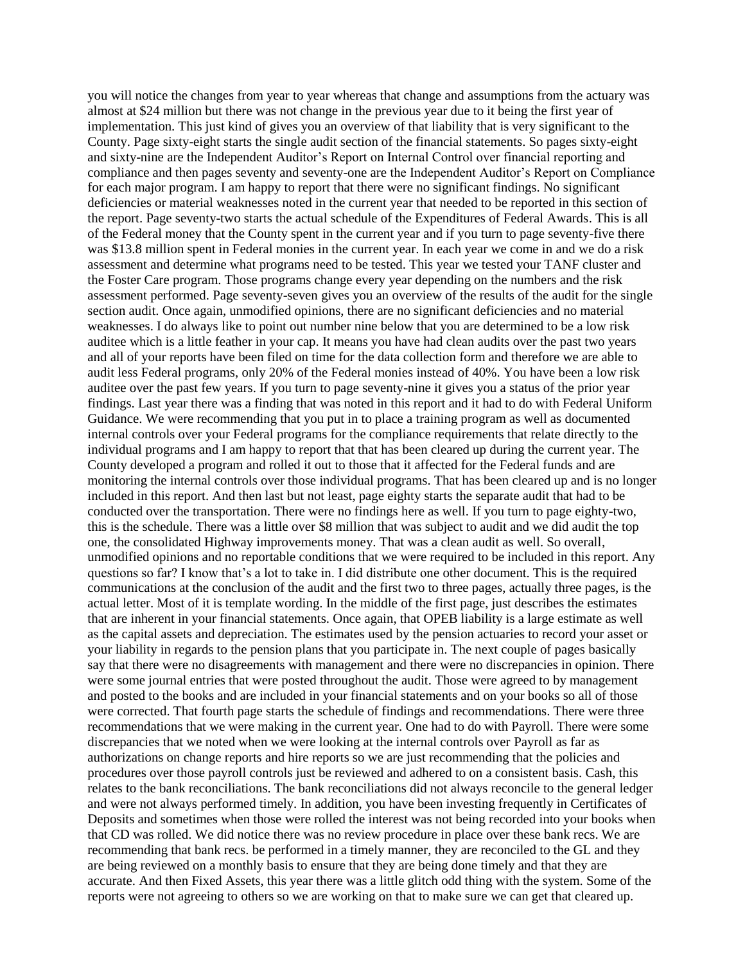you will notice the changes from year to year whereas that change and assumptions from the actuary was almost at \$24 million but there was not change in the previous year due to it being the first year of implementation. This just kind of gives you an overview of that liability that is very significant to the County. Page sixty-eight starts the single audit section of the financial statements. So pages sixty-eight and sixty-nine are the Independent Auditor's Report on Internal Control over financial reporting and compliance and then pages seventy and seventy-one are the Independent Auditor's Report on Compliance for each major program. I am happy to report that there were no significant findings. No significant deficiencies or material weaknesses noted in the current year that needed to be reported in this section of the report. Page seventy-two starts the actual schedule of the Expenditures of Federal Awards. This is all of the Federal money that the County spent in the current year and if you turn to page seventy-five there was \$13.8 million spent in Federal monies in the current year. In each year we come in and we do a risk assessment and determine what programs need to be tested. This year we tested your TANF cluster and the Foster Care program. Those programs change every year depending on the numbers and the risk assessment performed. Page seventy-seven gives you an overview of the results of the audit for the single section audit. Once again, unmodified opinions, there are no significant deficiencies and no material weaknesses. I do always like to point out number nine below that you are determined to be a low risk auditee which is a little feather in your cap. It means you have had clean audits over the past two years and all of your reports have been filed on time for the data collection form and therefore we are able to audit less Federal programs, only 20% of the Federal monies instead of 40%. You have been a low risk auditee over the past few years. If you turn to page seventy-nine it gives you a status of the prior year findings. Last year there was a finding that was noted in this report and it had to do with Federal Uniform Guidance. We were recommending that you put in to place a training program as well as documented internal controls over your Federal programs for the compliance requirements that relate directly to the individual programs and I am happy to report that that has been cleared up during the current year. The County developed a program and rolled it out to those that it affected for the Federal funds and are monitoring the internal controls over those individual programs. That has been cleared up and is no longer included in this report. And then last but not least, page eighty starts the separate audit that had to be conducted over the transportation. There were no findings here as well. If you turn to page eighty-two, this is the schedule. There was a little over \$8 million that was subject to audit and we did audit the top one, the consolidated Highway improvements money. That was a clean audit as well. So overall, unmodified opinions and no reportable conditions that we were required to be included in this report. Any questions so far? I know that's a lot to take in. I did distribute one other document. This is the required communications at the conclusion of the audit and the first two to three pages, actually three pages, is the actual letter. Most of it is template wording. In the middle of the first page, just describes the estimates that are inherent in your financial statements. Once again, that OPEB liability is a large estimate as well as the capital assets and depreciation. The estimates used by the pension actuaries to record your asset or your liability in regards to the pension plans that you participate in. The next couple of pages basically say that there were no disagreements with management and there were no discrepancies in opinion. There were some journal entries that were posted throughout the audit. Those were agreed to by management and posted to the books and are included in your financial statements and on your books so all of those were corrected. That fourth page starts the schedule of findings and recommendations. There were three recommendations that we were making in the current year. One had to do with Payroll. There were some discrepancies that we noted when we were looking at the internal controls over Payroll as far as authorizations on change reports and hire reports so we are just recommending that the policies and procedures over those payroll controls just be reviewed and adhered to on a consistent basis. Cash, this relates to the bank reconciliations. The bank reconciliations did not always reconcile to the general ledger and were not always performed timely. In addition, you have been investing frequently in Certificates of Deposits and sometimes when those were rolled the interest was not being recorded into your books when that CD was rolled. We did notice there was no review procedure in place over these bank recs. We are recommending that bank recs. be performed in a timely manner, they are reconciled to the GL and they are being reviewed on a monthly basis to ensure that they are being done timely and that they are accurate. And then Fixed Assets, this year there was a little glitch odd thing with the system. Some of the reports were not agreeing to others so we are working on that to make sure we can get that cleared up.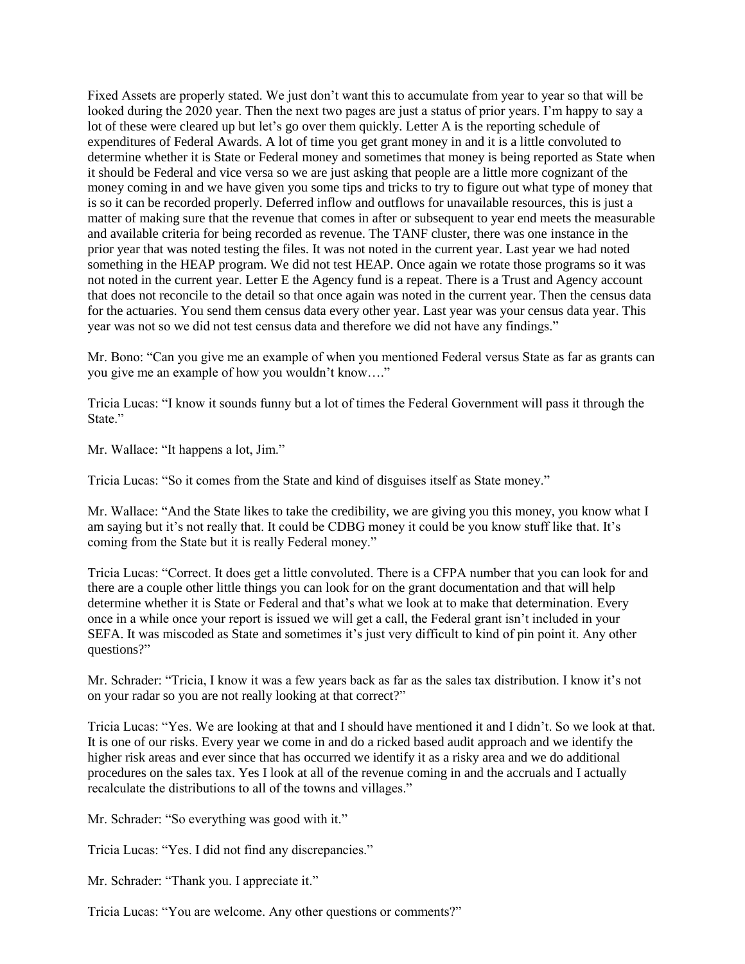Fixed Assets are properly stated. We just don't want this to accumulate from year to year so that will be looked during the 2020 year. Then the next two pages are just a status of prior years. I'm happy to say a lot of these were cleared up but let's go over them quickly. Letter A is the reporting schedule of expenditures of Federal Awards. A lot of time you get grant money in and it is a little convoluted to determine whether it is State or Federal money and sometimes that money is being reported as State when it should be Federal and vice versa so we are just asking that people are a little more cognizant of the money coming in and we have given you some tips and tricks to try to figure out what type of money that is so it can be recorded properly. Deferred inflow and outflows for unavailable resources, this is just a matter of making sure that the revenue that comes in after or subsequent to year end meets the measurable and available criteria for being recorded as revenue. The TANF cluster, there was one instance in the prior year that was noted testing the files. It was not noted in the current year. Last year we had noted something in the HEAP program. We did not test HEAP. Once again we rotate those programs so it was not noted in the current year. Letter E the Agency fund is a repeat. There is a Trust and Agency account that does not reconcile to the detail so that once again was noted in the current year. Then the census data for the actuaries. You send them census data every other year. Last year was your census data year. This year was not so we did not test census data and therefore we did not have any findings."

Mr. Bono: "Can you give me an example of when you mentioned Federal versus State as far as grants can you give me an example of how you wouldn't know…."

Tricia Lucas: "I know it sounds funny but a lot of times the Federal Government will pass it through the State."

Mr. Wallace: "It happens a lot, Jim."

Tricia Lucas: "So it comes from the State and kind of disguises itself as State money."

Mr. Wallace: "And the State likes to take the credibility, we are giving you this money, you know what I am saying but it's not really that. It could be CDBG money it could be you know stuff like that. It's coming from the State but it is really Federal money."

Tricia Lucas: "Correct. It does get a little convoluted. There is a CFPA number that you can look for and there are a couple other little things you can look for on the grant documentation and that will help determine whether it is State or Federal and that's what we look at to make that determination. Every once in a while once your report is issued we will get a call, the Federal grant isn't included in your SEFA. It was miscoded as State and sometimes it's just very difficult to kind of pin point it. Any other questions?"

Mr. Schrader: "Tricia, I know it was a few years back as far as the sales tax distribution. I know it's not on your radar so you are not really looking at that correct?"

Tricia Lucas: "Yes. We are looking at that and I should have mentioned it and I didn't. So we look at that. It is one of our risks. Every year we come in and do a ricked based audit approach and we identify the higher risk areas and ever since that has occurred we identify it as a risky area and we do additional procedures on the sales tax. Yes I look at all of the revenue coming in and the accruals and I actually recalculate the distributions to all of the towns and villages."

Mr. Schrader: "So everything was good with it."

Tricia Lucas: "Yes. I did not find any discrepancies."

Mr. Schrader: "Thank you. I appreciate it."

Tricia Lucas: "You are welcome. Any other questions or comments?"